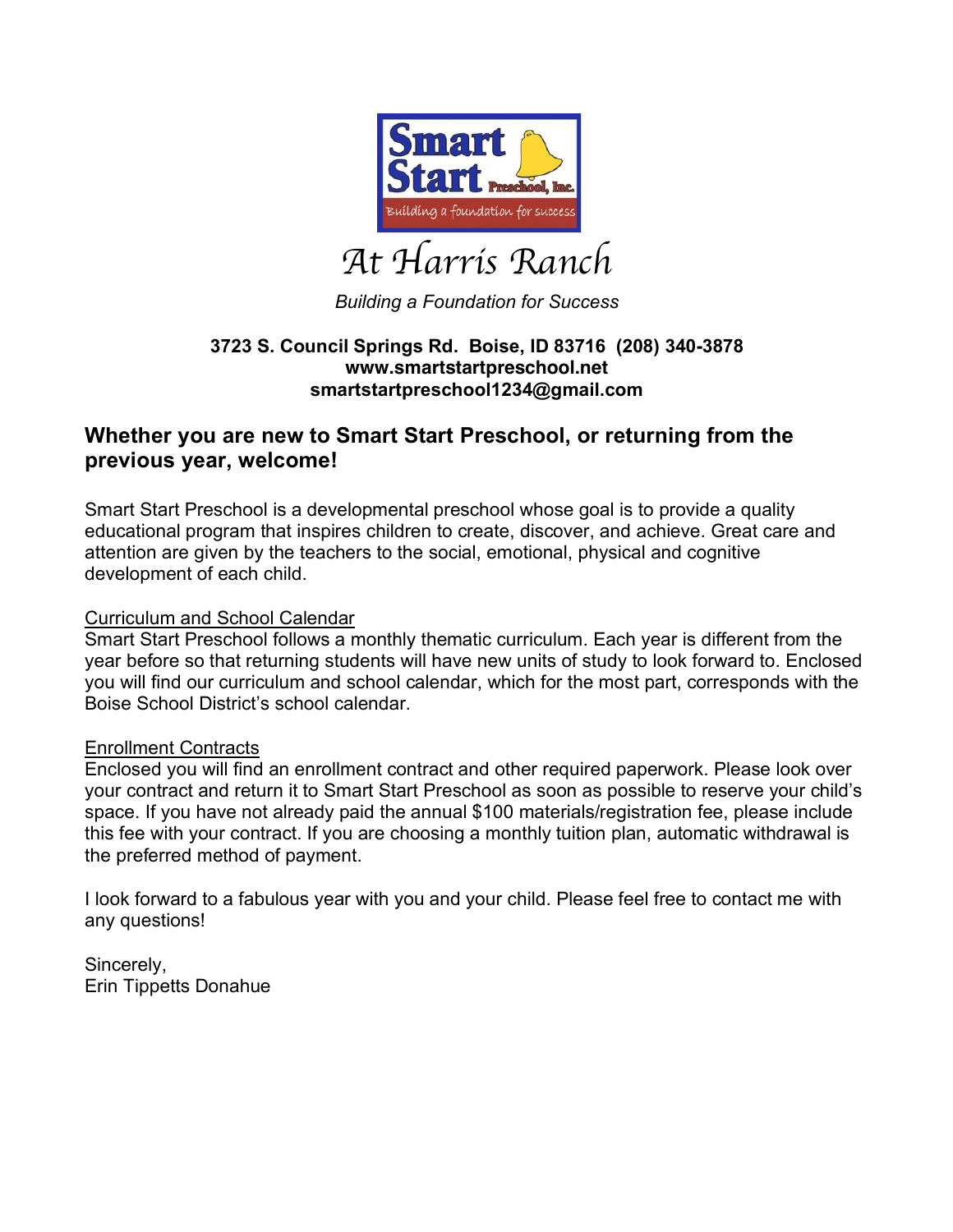

# *At Harris Ranch*

*Building a Foundation for Success*

# **3723 S. Council Springs Rd. Boise, ID 83716 (208) 340-3878 www.smartstartpreschool.net smartstartpreschool1234@gmail.com**

# **Whether you are new to Smart Start Preschool, or returning from the previous year, welcome!**

Smart Start Preschool is a developmental preschool whose goal is to provide a quality educational program that inspires children to create, discover, and achieve. Great care and attention are given by the teachers to the social, emotional, physical and cognitive development of each child.

# Curriculum and School Calendar

Smart Start Preschool follows a monthly thematic curriculum. Each year is different from the year before so that returning students will have new units of study to look forward to. Enclosed you will find our curriculum and school calendar, which for the most part, corresponds with the Boise School District's school calendar.

## Enrollment Contracts

Enclosed you will find an enrollment contract and other required paperwork. Please look over your contract and return it to Smart Start Preschool as soon as possible to reserve your child's space. If you have not already paid the annual \$100 materials/registration fee, please include this fee with your contract. If you are choosing a monthly tuition plan, automatic withdrawal is the preferred method of payment.

I look forward to a fabulous year with you and your child. Please feel free to contact me with any questions!

Sincerely, Erin Tippetts Donahue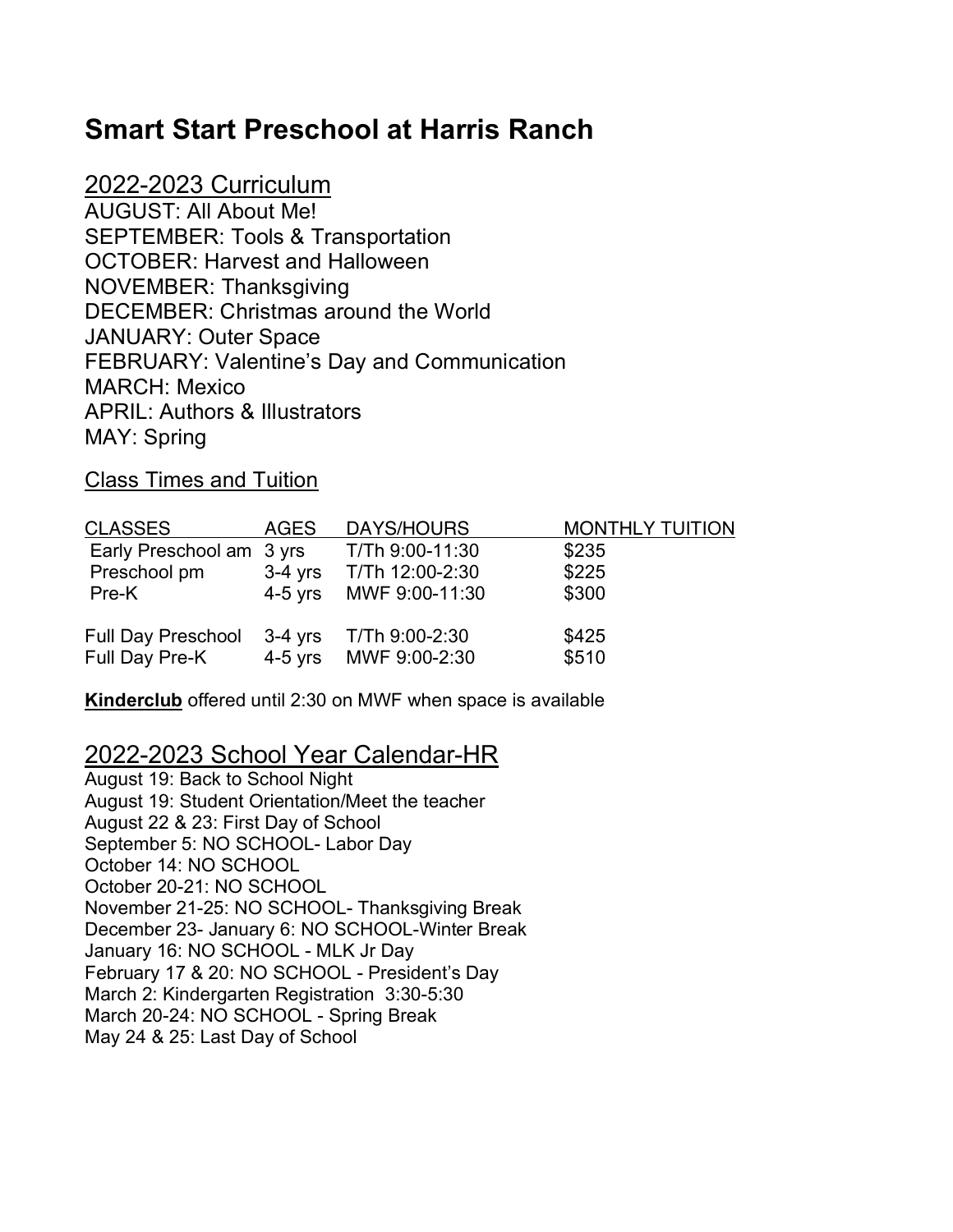# **Smart Start Preschool at Harris Ranch**

2022-2023 Curriculum AUGUST: All About Me! SEPTEMBER: Tools & Transportation OCTOBER: Harvest and Halloween NOVEMBER: Thanksgiving DECEMBER: Christmas around the World JANUARY: Outer Space FEBRUARY: Valentine's Day and Communication MARCH: Mexico APRIL: Authors & Illustrators MAY: Spring

Class Times and Tuition

| <b>CLASSES</b>                              | <b>AGES</b> | DAYS/HOURS                              | <b>MONTHLY TUITION</b> |
|---------------------------------------------|-------------|-----------------------------------------|------------------------|
| Early Preschool am 3 yrs                    |             | T/Th 9:00-11:30                         | \$235                  |
| Preschool pm                                | 3-4 yrs     | T/Th 12:00-2:30                         | \$225                  |
| Pre-K                                       |             | 4-5 yrs MWF 9:00-11:30                  | \$300                  |
| <b>Full Day Preschool</b><br>Full Day Pre-K | 3-4 yrs     | T/Th 9:00-2:30<br>4-5 yrs MWF 9:00-2:30 | \$425<br>\$510         |

**Kinderclub** offered until 2:30 on MWF when space is available

# 2022-2023 School Year Calendar-HR

August 19: Back to School Night August 19: Student Orientation/Meet the teacher August 22 & 23: First Day of School September 5: NO SCHOOL- Labor Day October 14: NO SCHOOL October 20-21: NO SCHOOL November 21-25: NO SCHOOL- Thanksgiving Break December 23- January 6: NO SCHOOL-Winter Break January 16: NO SCHOOL - MLK Jr Day February 17 & 20: NO SCHOOL - President's Day March 2: Kindergarten Registration 3:30-5:30 March 20-24: NO SCHOOL - Spring Break May 24 & 25: Last Day of School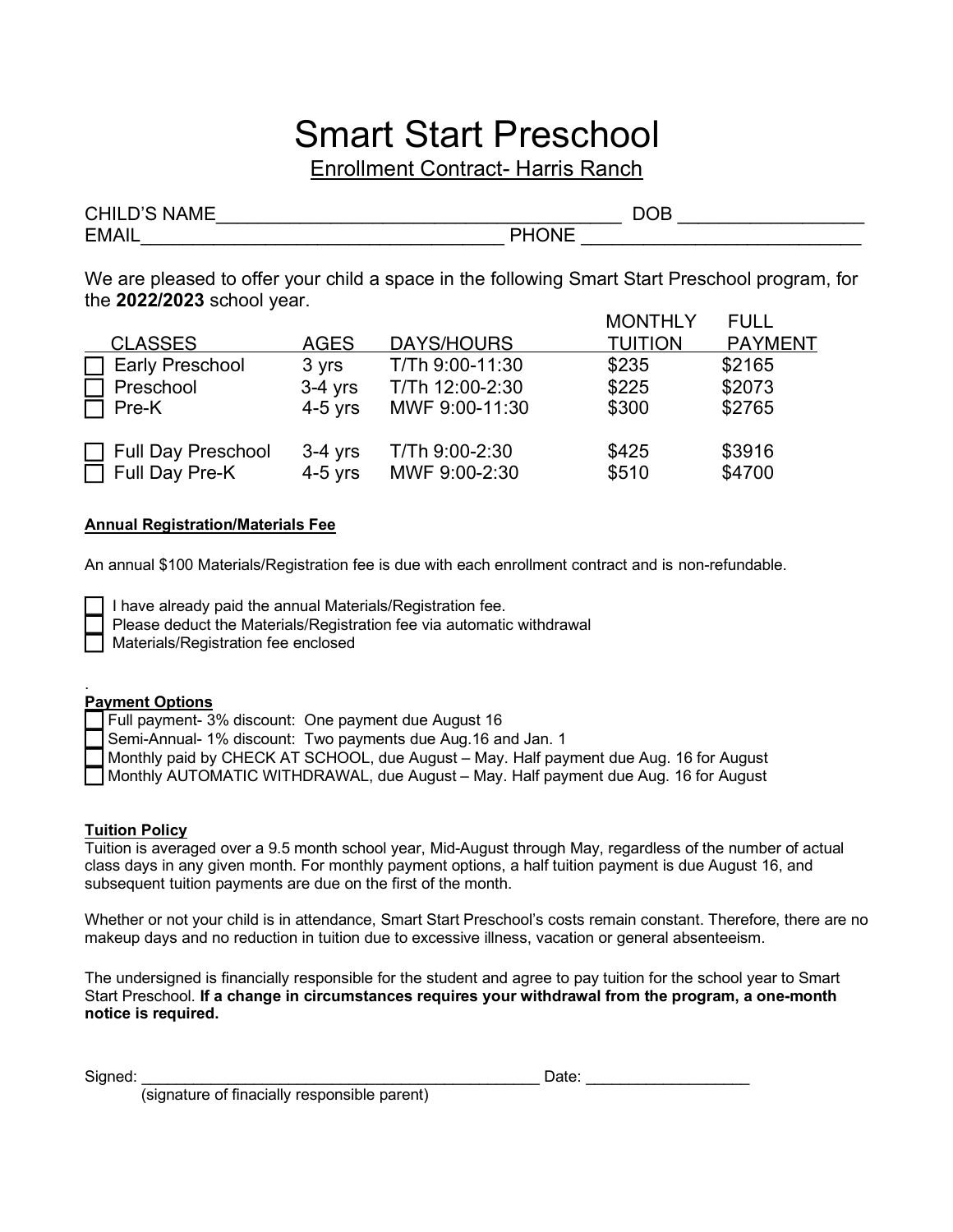# Smart Start Preschool

Enrollment Contract- Harris Ranch

| <b>CHILD'S NAME</b> | <b>DOB</b> |
|---------------------|------------|
| <b>EMAIL</b>        |            |

We are pleased to offer your child a space in the following Smart Start Preschool program, for the **2022/2023** school year.

|                                  |             |                   | <b>MONTHLY</b> | <b>FULL</b>    |
|----------------------------------|-------------|-------------------|----------------|----------------|
| <b>CLASSES</b>                   | <b>AGES</b> | <b>DAYS/HOURS</b> | <b>TUITION</b> | <b>PAYMENT</b> |
| <b>Early Preschool</b><br>$\Box$ | 3 yrs       | T/Th 9:00-11:30   | \$235          | \$2165         |
| Preschool<br>$\mathsf{L}$        | $3-4$ yrs   | T/Th 12:00-2:30   | \$225          | \$2073         |
| $\Box$ Pre-K                     | $4-5$ yrs   | MWF 9:00-11:30    | \$300          | \$2765         |
| Full Day Preschool               | $3-4$ yrs   | T/Th 9:00-2:30    | \$425          | \$3916         |
| $\Box$ Full Day Pre-K            | $4-5$ yrs   | MWF 9:00-2:30     | \$510          | \$4700         |

#### **Annual Registration/Materials Fee**

An annual \$100 Materials/Registration fee is due with each enrollment contract and is non-refundable.

I have already paid the annual Materials/Registration fee.

Please deduct the Materials/Registration fee via automatic withdrawal

Materials/Registration fee enclosed

#### . **Payment Options**

Full payment- 3% discount: One payment due August 16

Semi-Annual- 1% discount: Two payments due Aug.16 and Jan. 1

Monthly paid by CHECK AT SCHOOL, due August – May. Half payment due Aug. 16 for August

Monthly AUTOMATIC WITHDRAWAL, due August – May. Half payment due Aug. 16 for August

#### **Tuition Policy**

Tuition is averaged over a 9.5 month school year, Mid-August through May, regardless of the number of actual class days in any given month. For monthly payment options, a half tuition payment is due August 16, and subsequent tuition payments are due on the first of the month.

Whether or not your child is in attendance, Smart Start Preschool's costs remain constant. Therefore, there are no makeup days and no reduction in tuition due to excessive illness, vacation or general absenteeism.

The undersigned is financially responsible for the student and agree to pay tuition for the school year to Smart Start Preschool. **If a change in circumstances requires your withdrawal from the program, a one-month notice is required.**

Signed: \_\_\_\_\_\_\_\_\_\_\_\_\_\_\_\_\_\_\_\_\_\_\_\_\_\_\_\_\_\_\_\_\_\_\_\_\_\_\_\_\_\_\_\_\_\_ Date: \_\_\_\_\_\_\_\_\_\_\_\_\_\_\_\_\_\_\_

(signature of finacially responsible parent)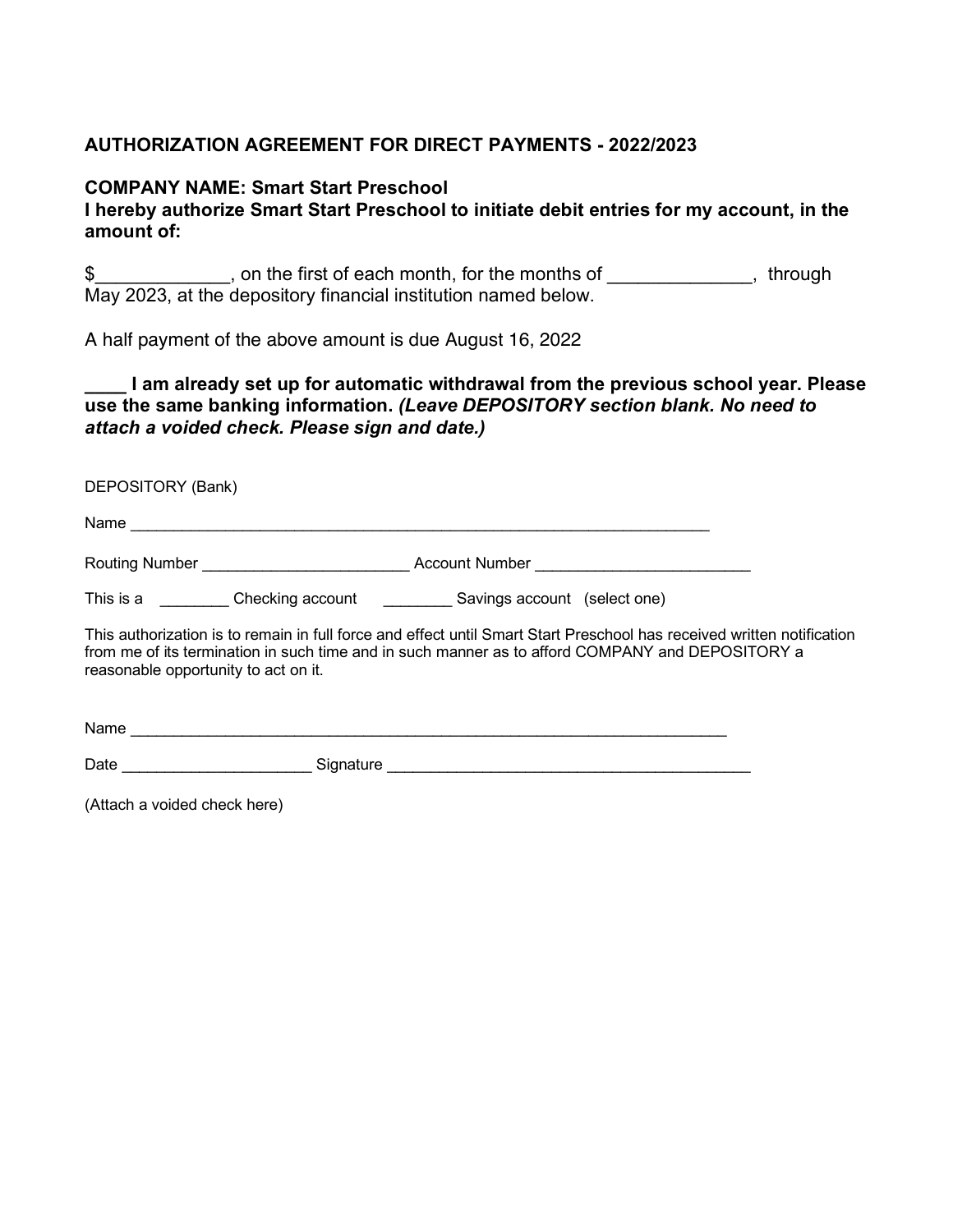# **AUTHORIZATION AGREEMENT FOR DIRECT PAYMENTS - 2022/2023**

### **COMPANY NAME: Smart Start Preschool**

## **I hereby authorize Smart Start Preschool to initiate debit entries for my account, in the amount of:**

\$ , on the first of each month, for the months of  $\sim$ , through May 2023, at the depository financial institution named below.

A half payment of the above amount is due August 16, 2022

## **\_\_\_\_ I am already set up for automatic withdrawal from the previous school year. Please use the same banking information.** *(Leave DEPOSITORY section blank. No need to attach a voided check. Please sign and date.)*

DEPOSITORY (Bank) Name \_\_\_\_\_\_\_\_\_\_\_\_\_\_\_\_\_\_\_\_\_\_\_\_\_\_\_\_\_\_\_\_\_\_\_\_\_\_\_\_\_\_\_\_\_\_\_\_\_\_\_\_\_\_\_\_\_\_\_\_\_\_\_\_\_\_\_ Routing Number \_\_\_\_\_\_\_\_\_\_\_\_\_\_\_\_\_\_\_\_\_\_\_\_ Account Number \_\_\_\_\_\_\_\_\_\_\_\_\_\_\_\_\_\_\_\_\_\_\_\_\_ This is a \_\_\_\_\_\_\_\_\_\_ Checking account \_\_\_\_\_\_\_\_\_\_\_ Savings account (select one)

This authorization is to remain in full force and effect until Smart Start Preschool has received written notification from me of its termination in such time and in such manner as to afford COMPANY and DEPOSITORY a reasonable opportunity to act on it.

| Name |           |
|------|-----------|
| Date | Signature |

(Attach a voided check here)